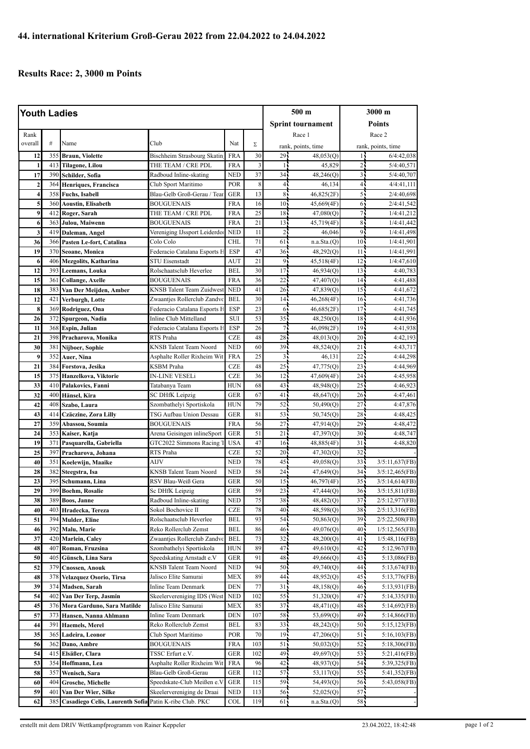## **Results Race: 2, 3000 m Points**

| <b>Youth Ladies</b> |                 |                                               |                                               |                          | $500 \text{ m}$ |                    | 3000 m                   |                       |                                  |
|---------------------|-----------------|-----------------------------------------------|-----------------------------------------------|--------------------------|-----------------|--------------------|--------------------------|-----------------------|----------------------------------|
|                     |                 |                                               |                                               |                          |                 |                    | <b>Sprint tournament</b> | <b>Points</b>         |                                  |
| Rank                |                 |                                               |                                               |                          |                 | Race 1             |                          | Race 2                |                                  |
| overall             | #               | Name                                          | Club                                          | Nat                      | Σ               | rank, points, time |                          | rank, points, time    |                                  |
| 12                  | 355             | <b>Braun, Violette</b>                        | <b>Bischheim Strasbourg Skatin</b>            | <b>FRA</b>               | 30              | 29.                | 48,053(Q)                | 14                    | 6/4:42,038                       |
| 1                   | 413             | <b>Tilagone, Lilou</b>                        | THE TEAM / CRE PDL                            | <b>FRA</b>               | 3               | $\overline{1}$     | 45,829                   | 2                     | 5/4:40,571                       |
| 17                  | 390             | Schilder, Sofia                               | Radboud Inline-skating                        | <b>NED</b>               | 37              | 34                 | 48,246(Q)                | $\overline{3}$        | 5/4:40,707                       |
| $\overline{2}$      | 364             | Henriques, Francisca                          | Club Sport Maritimo                           | POR                      | 8               | $\overline{4}$     | 46,134                   | $\overline{4}$        | 4/4:41,111                       |
| 4                   | 358             | <b>Fuchs</b> , Isabell                        | Blau-Gelb Groß-Gerau / Tear                   | <b>GER</b>               | 13              | 8                  | 46,825(2F)               | 5                     | 2/4:40,698                       |
| 5                   | 360             | <b>Aoustin, Elisabeth</b>                     | <b>BOUGUENAIS</b>                             | <b>FRA</b>               | 16              | 10 <sup>1</sup>    | 45,669(4F)               | 6                     | 2/4:41,542                       |
| 9                   | 412             | Roger, Sarah                                  | THE TEAM / CRE PDL                            | <b>FRA</b>               | 25              | 18                 | 47,080(Q)                | 7,                    | 1/4:41,212                       |
| 6                   | 363             | Julou, Maiwenn                                | <b>BOUGUENAIS</b>                             | <b>FRA</b>               | 21              | 13 <sup>1</sup>    | 45,719(4F)               | 8 <sup>1</sup>        | 1/4:41,442                       |
| 3                   | 419             | Daleman, Angel                                | Vereniging IJssport Leiderdor                 | <b>NED</b>               | 11              | 2 <sub>1</sub>     | 46,046                   | 9 <sub>1</sub>        | 1/4:41,498                       |
| 36                  | 366             | Pasten Le-fort, Catalina                      | Colo Colo                                     | <b>CHL</b>               | 71              | 61                 | n.a.Sta.(Q)              | 10 <sub>1</sub>       | 1/4:41,901                       |
| 19                  | 370             | <b>Seoane, Monica</b>                         | Federacio Catalana Esports F                  | <b>ESP</b>               | 47              | $36 -$             | 48,292(Q)                | 11 <sub>5</sub>       | 1/4:41,991                       |
| 6                   | 406             | <b>Mezgolits, Katharina</b>                   | <b>STU Eisenstadt</b>                         | <b>AUT</b>               | $\overline{21}$ | 91                 | 45,518(4F)               | 12                    | 1/4:47,610                       |
| 12                  | 393             | Leemans, Louka                                | Rolschaatsclub Heverlee                       | <b>BEL</b>               | 30              | 17                 | 46,934(Q)                | 13                    | 4:40,783                         |
| 15                  | 361             | <b>Collange, Axelle</b>                       | <b>BOUGUENAIS</b>                             | <b>FRA</b>               | 36              | 22                 | 47,407(Q)                | 14 <sub>5</sub>       | 4:41,488                         |
| 18                  | 383             | Van Der Meijden, Amber                        | <b>KNSB</b> Talent Team Zuidwes               | <b>NED</b>               | 41              | 26                 | 47,839(Q)                | 15 <sup>2</sup>       | 4:41,672                         |
| 12                  | 421             | Verburgh, Lotte                               | Zwaantjes Rollerclub Zandvo                   | <b>BEL</b>               | 30              | 14 <sub>1</sub>    | 46,268(4F)               | 16 <sub>1</sub>       | 4:41,736                         |
| 8                   | 369             | Rodriguez, Ona                                | Federacio Catalana Esports F                  | <b>ESP</b>               | 23              | 6.                 | 46,685(2F)               | 17 <sub>1</sub>       | 4:41,745                         |
| 26                  | 372             | Spurgeon, Nadia                               | Inline Club Mittelland                        | SUI                      | 53              | 35 <sub>1</sub>    | 48,250(Q)                | 18                    | 4:41,936                         |
| 11                  | 368             | Espin, Julian                                 | Federacio Catalana Esports F                  | <b>ESP</b>               | 26              | 71                 | 46,098(2F)               | 19                    | 4:41,938                         |
| 21                  | 398             | Pracharova, Monika                            | RTS Praha                                     | <b>CZE</b>               | 48              | 28                 | 48,013(Q)                | 20 <sub>1</sub>       | 4:42,193                         |
| 30                  | 381             | Nijboer, Sophie                               | <b>KNSB</b> Talent Team Noord                 | <b>NED</b>               | 60              | 39                 | 48,524(Q)                | 21                    | 4:43,717                         |
| 9                   | 352             | Auer, Nina                                    | Asphalte Roller Rixheim Wit                   | <b>FRA</b>               | 25              | $\overline{3}$     | 46,131                   | 22                    | 4:44,298                         |
| 21                  | 384             | Forstova, Jesika                              | KSBM Praha                                    | CZE                      | 48              | 25 <sub>1</sub>    | 47,775(Q)                | 23                    | 4:44,969                         |
| 15                  |                 | 375 Hanzelkova, Viktorie                      | IN-LINE VESELi                                | <b>CZE</b>               | 36              | 12                 | 47,609(4F)               | 24 <sub>1</sub>       | 4:45,958                         |
| 33                  | 410             | Palakovics, Fanni                             | Tatabanya Team                                | <b>HUN</b>               | 68              | 43                 | 48,948(Q)                | 25                    | 4:46,923                         |
| 32                  | 400             | Hänsel, Kira                                  | <b>SC DHfK Leipzig</b>                        | <b>GER</b>               | 67              | 41 <sub>1</sub>    | 48,647(Q)                | $26 -$                | 4:47,461                         |
| 42                  | 408             | Szabo, Laura                                  | Szombathelyi Sportiskola                      | <b>HUN</b>               | 79              | 52                 | 50,490(Q)                | $27^{-}$              | 4:47,876                         |
| 43                  | 414             | Czäczine, Zora Lilly                          | TSG Aufbau Union Dessau                       | <b>GER</b>               | 81              | 53                 | 50,745(Q)                | 28                    | 4:48,425                         |
| 27                  | 359             | Abassou, Soumia                               | <b>BOUGUENAIS</b>                             | <b>FRA</b>               | 56              | 27                 | 47,914(Q)                | 29 <sub>1</sub>       | 4:48,472                         |
| 24                  | 353             | Kaiser, Katja                                 | Arena Geisingen inlineSport                   | <b>GER</b>               | 51              | 21                 | 47,397(Q)                | 30 <sup>7</sup>       | 4:48,747                         |
| 19                  | 371             | Pasquarella, Gabriella                        | GTC2022 Simmons Racing 7                      | <b>USA</b>               | 47              | 16 <sup>1</sup>    | 48,885(4F)               | 31 <sup>1</sup>       | 4:48,820                         |
| 25                  | 397             | Pracharova, Johana                            | RTS Praha                                     | CZE                      | 52              | $20 -$             | 47,302(Q)                | 32 <sub>1</sub>       |                                  |
| 40                  | 351             | Koelewijn, Maaike                             | AIJV                                          | <b>NED</b>               | 78              | 45                 | 49,058(Q)                | 33 <sup>2</sup>       | 3/5:11,637(FB)                   |
| 28                  | 382             | Steegstra, Isa                                | <b>KNSB</b> Talent Team Noord                 | <b>NED</b>               | 58              | 24                 | 47,649(Q)                | 34 <sup>1</sup>       | 3/5:12,465(FB)                   |
| 23                  | 395             | Schumann, Lina                                | RSV Blau-Weiß Gera                            | <b>GER</b>               | 50<br>59        | 15 <sup>1</sup>    | 46,797(4F)               | 35 <sub>1</sub>       | 3/5:14,614(FB)                   |
| 29                  | 399             | <b>Boehm, Rosalie</b>                         | Sc DHfK Leipzig                               | GER                      | 75              | 23<br>$38 -$       | 47,444(Q)                | 36<br>37 <sup>1</sup> | 3/5:15,811(FB)                   |
| 38<br>40            |                 | 389 Boos, Janne                               | Radboud Inline-skating                        | <b>NED</b><br><b>CZE</b> | 78              | 40                 | 48,482(Q)                | 38                    | 2/5:12,977(FB)                   |
| 51                  | 394             | 403 Hradecka, Tereza<br><b>Mulder</b> , Eline | Sokol Bochovice II<br>Rolschaatsclub Heverlee | <b>BEL</b>               | 93              | 54                 | 48,598(Q)<br>50,863(Q)   | 39                    | 2/5:13,316(FB)<br>2/5:22,508(FB) |
| 46                  | 392             | Malu, Marie                                   | Reko Rollerclub Zemst                         | <b>BEL</b>               | 86              | 46                 | 49,076(Q)                | 40                    | 1/5:12,565(FB)                   |
| 37                  | 420             | Marlein, Caley                                | Zwaantjes Rollerclub Zandv                    | BEL                      | 73              | 32                 | 48,200(Q)                | 41 <sub>1</sub>       | 1/5:48,116(FB)                   |
| 48                  | 407             | Roman, Fruzsina                               | Szombathelyi Sportiskola                      | <b>HUN</b>               | 89              | 47.                | 49,610(Q)                | 42.                   | 5:12,967(FB)                     |
| 50                  | 405             | Günsch, Lina Sara                             | Speedskating Arnstadt e.V                     | <b>GER</b>               | 91              | 48                 | 49,666(Q)                | 43                    | $5:13,086$ (FB)                  |
| 52                  | 379             | <b>Cnossen, Anouk</b>                         | KNSB Talent Team Noord                        | <b>NED</b>               | 94              | 50 <sub>1</sub>    | 49,740(Q)                | 44                    | 5:13,674(FB)                     |
| 48                  | 378             | Velazquez Osorio, Tirsa                       | Jalisco Elite Samurai                         | MEX                      | 89              | 44                 | 48,952(Q)                | 45                    | 5:13,776(FB)                     |
| 39                  | 374             | Madsen, Sarah                                 | Inline Team Denmark                           | <b>DEN</b>               | 77              | 31 <sub>1</sub>    | 48,158(Q)                | 46 <sub>1</sub>       | 5:13,931(FB)                     |
| 54                  | 402             | Van Der Terp, Jasmin                          | Skeelervereniging IDS (West                   | <b>NED</b>               | 102             | 55.                | 51,320(Q)                | 47.                   | 5:14,335(FB)                     |
| 45                  |                 | 376 Mora Garduno, Sara Matilde                | Jalisco Elite Samurai                         | MEX                      | 85              | 37.                | 48,471 <sub>(Q)</sub>    | 48                    | 5:14,692(FB)                     |
| 57                  | 373             | Hansen, Nanna Ahlmann                         | Inline Team Denmark                           | <b>DEN</b>               | 107             | 58                 | 53,699(Q)                | 49                    | $5:14,866$ (FB)                  |
| 44                  | 391             | <b>Haemels, Merel</b>                         | Reko Rollerclub Zemst                         | BEL                      | 83              | 33                 | 48,242 <sub>(Q)</sub>    | 50:                   | 5:15,123(FB)                     |
| 35                  | 365             | Ladeira, Leonor                               | Club Sport Maritimo                           | POR                      | 70              | 19 <sub>1</sub>    | 47,206(Q)                | 51.                   | 5:16,103(FB)                     |
| 56                  | 362             | Dano, Ambre                                   | BOUGUENAIS                                    | FRA                      | 103             | 51                 | 50,032(Q)                | 52                    | 5:18,306(FB)                     |
| 54                  | 415             | Elsäßer, Clara                                | TSSC Erfurt e.V.                              | GER                      | 102             | 49.                | 49,697(Q)                | 53                    | 5:21,416(FB)                     |
| 53                  | 354             | Hoffmann, Lea                                 | Asphalte Roller Rixheim Wit                   | <b>FRA</b>               | 96              | 42                 | 48,937(Q)                | 54                    | 5:39,325(FB)                     |
| 58                  | 357             | Wenisch, Sara                                 | Blau-Gelb Groß-Gerau                          | <b>GER</b>               | 112             | 57                 | 53,117(Q)                | 55                    | 5:41,352(FB)                     |
| 60                  | 404             | <b>Grosche, Michelle</b>                      | Speedskate-Club Meißen e.V                    | GER                      | 115             | 59                 | 54,493(Q)                | 56 <sub>1</sub>       | 5:43,058(FB)                     |
| 59                  | 40 <sup>°</sup> | Van Der Wier, Silke                           | Skeelervereniging de Draai                    | <b>NED</b>               | 113             | 56                 | 52,025(Q)                | 57                    |                                  |
| 62                  | 385             | Casadiego Celis, Laurenth Sofia               | Patin K-ribe Club. PKC                        | COL                      | 119             | 61 <sub>1</sub>    | n.a.Sta(Q)               | 58                    |                                  |